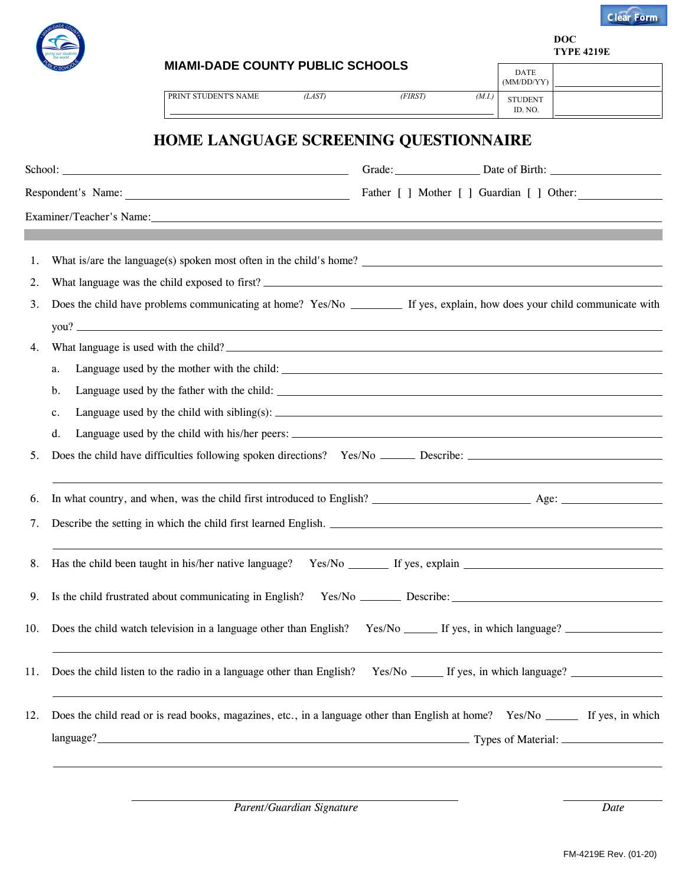

**DOC TYPE 4219E**

|     | <b>MIAMI-DADE COUNTY PUBLIC SCHOOLS</b><br>PRINT STUDENT'S NAME<br>(LAST)                                                                                                                                                            | (FIRST)                                   | (M.I.) | <b>DATE</b><br>(MM/DD/YY)<br><b>STUDENT</b> |  |  |  |
|-----|--------------------------------------------------------------------------------------------------------------------------------------------------------------------------------------------------------------------------------------|-------------------------------------------|--------|---------------------------------------------|--|--|--|
|     | HOME LANGUAGE SCREENING QUESTIONNAIRE                                                                                                                                                                                                |                                           |        | ID. NO.                                     |  |  |  |
|     | School: <u>Contact of the Contact of the Contact of the Contact of the Contact of the Contact of the Contact of the Contact of the Contact of the Contact of the Contact of the Contact of the Contact of the Contact of the Con</u> | Grade: Date of Birth: 2000 Date of Birth: |        |                                             |  |  |  |
|     |                                                                                                                                                                                                                                      |                                           |        |                                             |  |  |  |
|     | Examiner/Teacher's Name:                                                                                                                                                                                                             |                                           |        |                                             |  |  |  |
|     |                                                                                                                                                                                                                                      |                                           |        |                                             |  |  |  |
| 1.  |                                                                                                                                                                                                                                      |                                           |        |                                             |  |  |  |
| 2.  |                                                                                                                                                                                                                                      |                                           |        |                                             |  |  |  |
| 3.  | Does the child have problems communicating at home? Yes/No _________ If yes, explain, how does your child communicate with                                                                                                           |                                           |        |                                             |  |  |  |
|     | you?                                                                                                                                                                                                                                 |                                           |        |                                             |  |  |  |
| 4.  |                                                                                                                                                                                                                                      |                                           |        |                                             |  |  |  |
|     | a.                                                                                                                                                                                                                                   |                                           |        |                                             |  |  |  |
|     | b.                                                                                                                                                                                                                                   |                                           |        |                                             |  |  |  |
|     | c.                                                                                                                                                                                                                                   |                                           |        |                                             |  |  |  |
|     | d.                                                                                                                                                                                                                                   |                                           |        |                                             |  |  |  |
| 5.  |                                                                                                                                                                                                                                      |                                           |        |                                             |  |  |  |
| 6.  |                                                                                                                                                                                                                                      |                                           |        |                                             |  |  |  |
| 7.  |                                                                                                                                                                                                                                      |                                           |        |                                             |  |  |  |
|     | 8. Has the child been taught in his/her native language?                                                                                                                                                                             | $Yes/No \tIf yes, explain \t f.$          |        |                                             |  |  |  |
| 9.  | Is the child frustrated about communicating in English?                                                                                                                                                                              |                                           |        |                                             |  |  |  |
| 10. | Does the child watch television in a language other than English?                                                                                                                                                                    |                                           |        |                                             |  |  |  |
| 11. | Does the child listen to the radio in a language other than English?                                                                                                                                                                 |                                           |        |                                             |  |  |  |
| 12. | Does the child read or is read books, magazines, etc., in a language other than English at home? Yes/No ________ If yes, in which                                                                                                    |                                           |        |                                             |  |  |  |
|     | language? <b>Material:</b> Material: Material: Material: Material: Material: Material: Material: Material: Material: Material: Material: Material: Material: Material: Material: Material: Material: Material: Material: Material:   |                                           |        |                                             |  |  |  |
|     |                                                                                                                                                                                                                                      |                                           |        |                                             |  |  |  |
|     |                                                                                                                                                                                                                                      |                                           |        |                                             |  |  |  |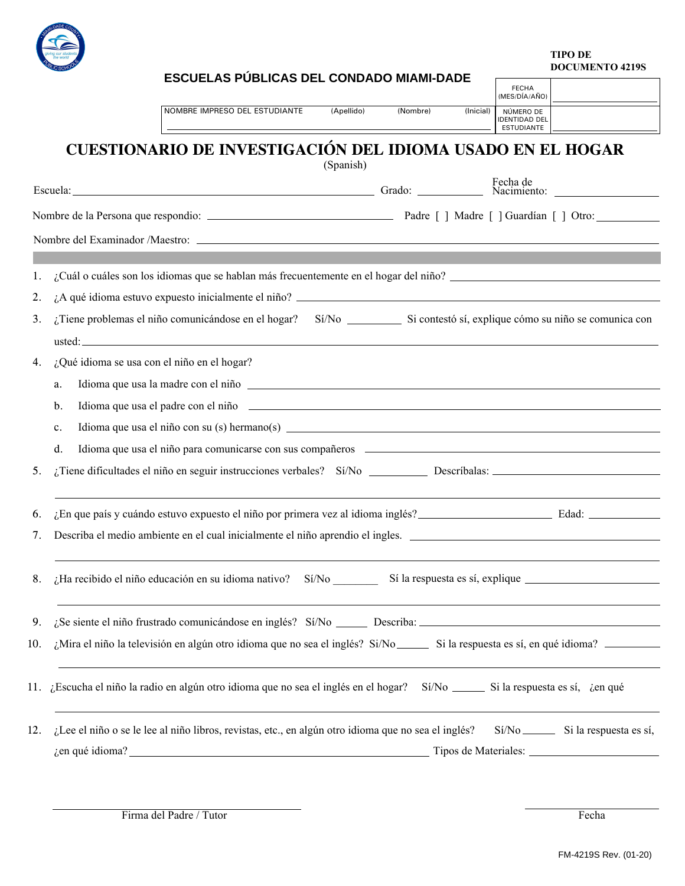

**TIPO DE DOCUMENTO 4219S**

|     |                |  |  |  | ESCUELAS PUBLICAS DEL CONDADO MIAMI-DADE                                                                                                                                                                                       |  |            |          |           | <b>FECHA</b>                                                            |  |
|-----|----------------|--|--|--|--------------------------------------------------------------------------------------------------------------------------------------------------------------------------------------------------------------------------------|--|------------|----------|-----------|-------------------------------------------------------------------------|--|
|     |                |  |  |  | NOMBRE IMPRESO DEL ESTUDIANTE                                                                                                                                                                                                  |  | (Apellido) | (Nombre) | (Inicial) | (MES/DÍA/AÑO)<br>NÚMERO DE<br><b>IDENTIDAD DEL</b><br><b>ESTUDIANTE</b> |  |
|     |                |  |  |  | CUESTIONARIO DE INVESTIGACIÓN DEL IDIOMA USADO EN EL HOGAR                                                                                                                                                                     |  | (Spanish)  |          |           |                                                                         |  |
|     |                |  |  |  | Escuela: Fecha de Racimiento: Fecha de Racimiento: Fecha de Racimiento: Pecha de Racimiento: Pecha de Racimiento: Pecha de Racimiento: Pecha de Racimiento: Pecha de Racimiento: Pecha de Racimiento: Pecha de Racimiento: Pec |  |            |          |           |                                                                         |  |
|     |                |  |  |  |                                                                                                                                                                                                                                |  |            |          |           |                                                                         |  |
|     |                |  |  |  |                                                                                                                                                                                                                                |  |            |          |           |                                                                         |  |
|     |                |  |  |  |                                                                                                                                                                                                                                |  |            |          |           |                                                                         |  |
| 1.  |                |  |  |  |                                                                                                                                                                                                                                |  |            |          |           |                                                                         |  |
| 2.  |                |  |  |  |                                                                                                                                                                                                                                |  |            |          |           |                                                                         |  |
| 3.  |                |  |  |  | ¿Tiene problemas el niño comunicándose en el hogar? Sí/No Silometro estado en el hogar Silometro estado en el hogar Silometro estado en el hogar Silometro en Silometro en Silometro en Silometro en Silometro en Silometro en |  |            |          |           |                                                                         |  |
| 4.  |                |  |  |  | ¿Qué idioma se usa con el niño en el hogar?                                                                                                                                                                                    |  |            |          |           |                                                                         |  |
|     | a.             |  |  |  | Idioma que usa la madre con el niño el establecer el contrar el proporcional de la madre con el niño el establecer el mundo de la madre de la madre de la madre de la madre de la madre de la madre de la madre de la madre de |  |            |          |           |                                                                         |  |
|     | b.             |  |  |  | Idioma que usa el padre con el niño el parte de la contrada de la contrada de la contrada de la contrada de la contrada de la contrada de la contrada de la contrada de la contrada de la contrada de la contrada de la contra |  |            |          |           |                                                                         |  |
|     | $\mathbf{c}$ . |  |  |  |                                                                                                                                                                                                                                |  |            |          |           |                                                                         |  |
|     | d.             |  |  |  | Idioma que usa el niño para comunicarse con sus compañeros el establecer el proporcional de la proporción de la proporción de la proporción de la proporción de la proporción de la proporción de la proporción de la proporci |  |            |          |           |                                                                         |  |
| 5.  |                |  |  |  |                                                                                                                                                                                                                                |  |            |          |           |                                                                         |  |
| 6.  |                |  |  |  | ¿En que país y cuándo estuvo expuesto el niño por primera vez al idioma inglés?<br>Fedad: Comparente de la contexta de la contexta de la contexta de la contexta de la contexta de la contexta d                               |  |            |          |           |                                                                         |  |
| 7.  |                |  |  |  | Describa el medio ambiente en el cual inicialmente el niño aprendio el ingles.                                                                                                                                                 |  |            |          |           |                                                                         |  |
|     |                |  |  |  |                                                                                                                                                                                                                                |  |            |          |           |                                                                         |  |
| 9.  |                |  |  |  |                                                                                                                                                                                                                                |  |            |          |           |                                                                         |  |
| 10. |                |  |  |  |                                                                                                                                                                                                                                |  |            |          |           |                                                                         |  |
|     |                |  |  |  | 11. ¿Escucha el niño la radio en algún otro idioma que no sea el inglés en el hogar? Sí/No _______ Si la respuesta es sí, ¿en qué                                                                                              |  |            |          |           |                                                                         |  |
| 12. |                |  |  |  | ¿Lee el niño o se le lee al niño libros, revistas, etc., en algún otro idioma que no sea el inglés? Sí/No _________ Si la respuesta es sí,                                                                                     |  |            |          |           |                                                                         |  |
|     |                |  |  |  | gen qué idioma?<br>Tipos de Materiales:                                                                                                                                                                                        |  |            |          |           |                                                                         |  |